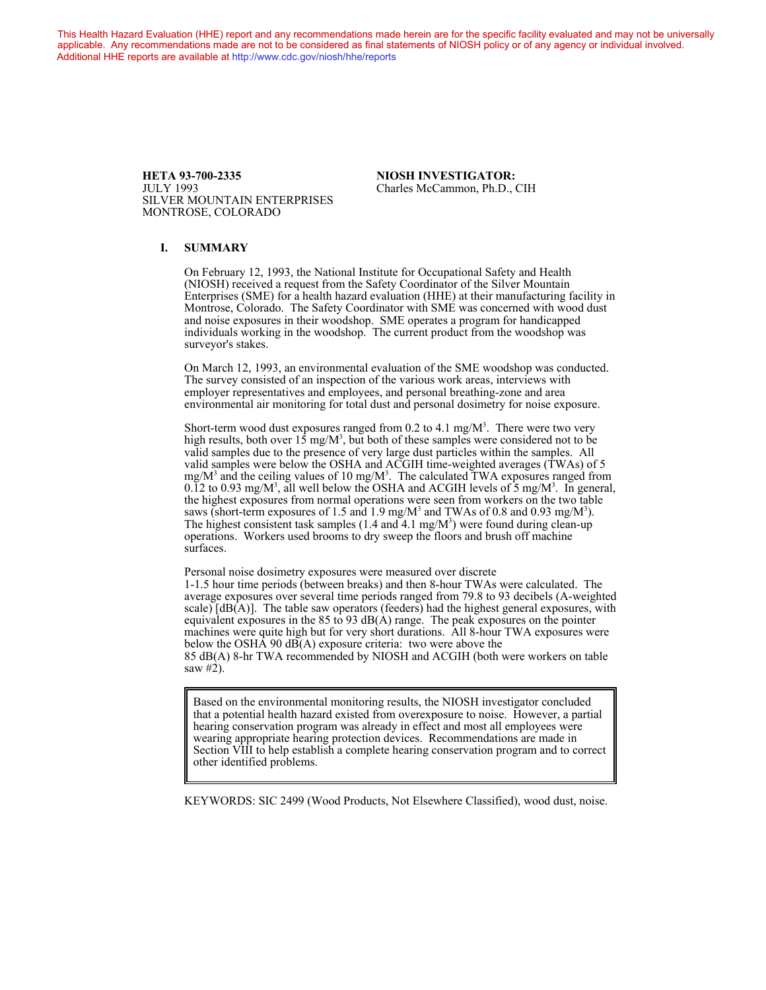This Health Hazard Evaluation (HHE) report and any recommendations made herein are for the specific facility evaluated and may not be universally applicable. Any recommendations made are not to be considered as final statements of NIOSH policy or of any agency or individual involved. Additional HHE reports are available at <http://www.cdc.gov/niosh/hhe/reports> Additional HHE reports are available at <http://www.cdc.gov/niosh/hhe/reports>

> **HETA 93-700-2335 NIOSH INVESTIGATOR:**<br>
> ULLY 1993 Charles McCammon. Ph.D.. SILVER MOUNTAIN ENTERPRISES MONTROSE, COLORADO

Charles McCammon, Ph.D., CIH

#### **I. SUMMARY**

On February 12, 1993, the National Institute for Occupational Safety and Health (NIOSH) received a request from the Safety Coordinator of the Silver Mountain Enterprises (SME) for a health hazard evaluation (HHE) at their manufacturing facility in Montrose, Colorado. The Safety Coordinator with SME was concerned with wood dust and noise exposures in their woodshop. SME operates a program for handicapped individuals working in the woodshop. The current product from the woodshop was surveyor's stakes.

On March 12, 1993, an environmental evaluation of the SME woodshop was conducted. The survey consisted of an inspection of the various work areas, interviews with employer representatives and employees, and personal breathing-zone and area environmental air monitoring for total dust and personal dosimetry for noise exposure.

Short-term wood dust exposures ranged from 0.2 to 4.1 mg/ $M<sup>3</sup>$ . There were two very high results, both over  $15 \text{ mg/M}^3$ , but both of these samples were considered not to be valid samples due to the presence of very large dust particles within the samples. All valid samples were below the OSHA and ACGIH time-weighted averages (TWAs) of 5 mg/M<sup>3</sup> and the ceiling values of 10 mg/M<sup>3</sup>. The calculated TWA exposures ranged from  $0.\overline{1}2$  to  $0.93$  mg/M<sup>3</sup>, all well below the OSHA and ACGIH levels of 5 mg/M<sup>3</sup>. In general, the highest exposures from normal operations were seen from workers on the two table saws (short-term exposures of 1.5 and 1.9 mg/M<sup>3</sup> and TWAs of 0.8 and 0.93 mg/M<sup>3</sup>). The highest consistent task samples (1.4 and 4.1 mg/M<sup>3</sup>) were found during clean-up operations. Workers used brooms to dry sweep the floors and brush off machine surfaces.

Personal noise dosimetry exposures were measured over discrete 1-1.5 hour time periods (between breaks) and then 8-hour TWAs were calculated. The average exposures over several time periods ranged from 79.8 to 93 decibels (A-weighted scale)  $[dB(A)]$ . The table saw operators (feeders) had the highest general exposures, with equivalent exposures in the 85 to 93  $dB(A)$  range. The peak exposures on the pointer machines were quite high but for very short durations. All 8-hour TWA exposures were below the OSHA 90 dB(A) exposure criteria: two were above the 85 dB(A) 8-hr TWA recommended by NIOSH and ACGIH (both were workers on table saw #2).

Based on the environmental monitoring results, the NIOSH investigator concluded that a potential health hazard existed from overexposure to noise. However, a partial hearing conservation program was already in effect and most all employees were wearing appropriate hearing protection devices. Recommendations are made in Section VIII to help establish a complete hearing conservation program and to correct other identified problems.

KEYWORDS: SIC 2499 (Wood Products, Not Elsewhere Classified), wood dust, noise.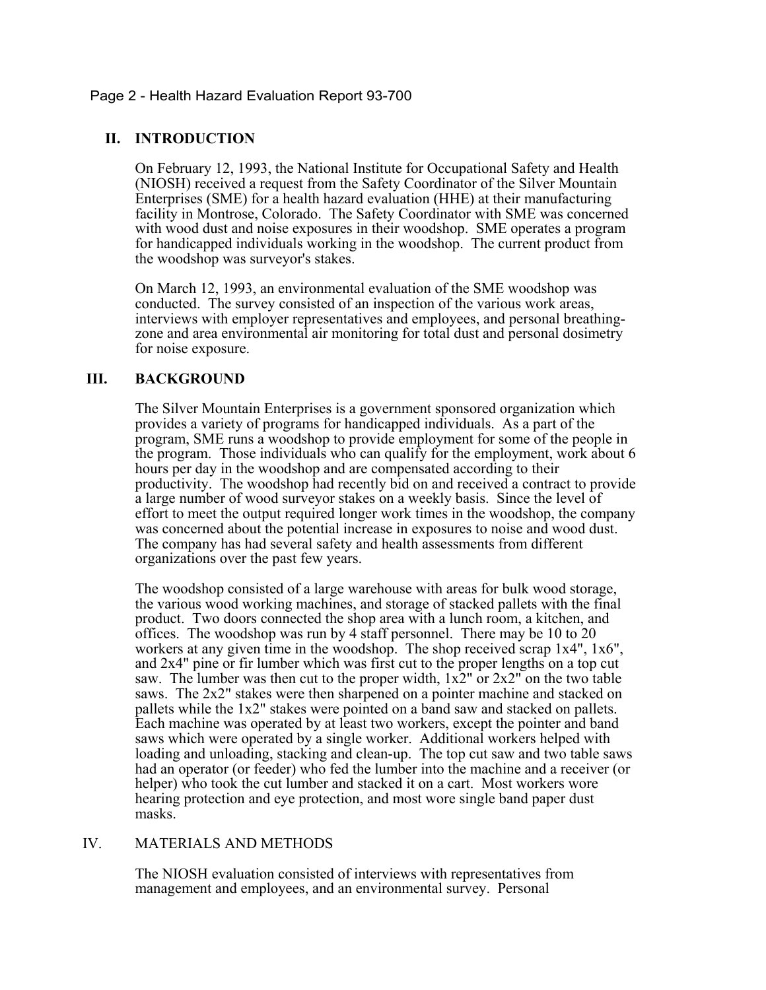## Page 2 - Health Hazard Evaluation Report 93-700

# **II. INTRODUCTION**

On February 12, 1993, the National Institute for Occupational Safety and Health (NIOSH) received a request from the Safety Coordinator of the Silver Mountain Enterprises (SME) for a health hazard evaluation (HHE) at their manufacturing facility in Montrose, Colorado. The Safety Coordinator with SME was concerned with wood dust and noise exposures in their woodshop. SME operates a program for handicapped individuals working in the woodshop. The current product from the woodshop was surveyor's stakes.

On March 12, 1993, an environmental evaluation of the SME woodshop was conducted. The survey consisted of an inspection of the various work areas, interviews with employer representatives and employees, and personal breathingzone and area environmental air monitoring for total dust and personal dosimetry for noise exposure.

# **III. BACKGROUND**

The Silver Mountain Enterprises is a government sponsored organization which provides a variety of programs for handicapped individuals. As a part of the program, SME runs a woodshop to provide employment for some of the people in the program. Those individuals who can qualify for the employment, work about 6 hours per day in the woodshop and are compensated according to their productivity. The woodshop had recently bid on and received a contract to provide a large number of wood surveyor stakes on a weekly basis. Since the level of effort to meet the output required longer work times in the woodshop, the company was concerned about the potential increase in exposures to noise and wood dust. The company has had several safety and health assessments from different organizations over the past few years.

The woodshop consisted of a large warehouse with areas for bulk wood storage, the various wood working machines, and storage of stacked pallets with the final product. Two doors connected the shop area with a lunch room, a kitchen, and offices. The woodshop was run by 4 staff personnel. There may be 10 to 20 workers at any given time in the woodshop. The shop received scrap 1x4", 1x6", and 2x4" pine or fir lumber which was first cut to the proper lengths on a top cut saw. The lumber was then cut to the proper width,  $1x2^{\prime\prime}$  or  $2x2^{\prime\prime}$  on the two table saws. The 2x2" stakes were then sharpened on a pointer machine and stacked on pallets while the 1x2" stakes were pointed on a band saw and stacked on pallets. Each machine was operated by at least two workers, except the pointer and band saws which were operated by a single worker. Additional workers helped with loading and unloading, stacking and clean-up. The top cut saw and two table saws had an operator (or feeder) who fed the lumber into the machine and a receiver (or helper) who took the cut lumber and stacked it on a cart. Most workers wore hearing protection and eye protection, and most wore single band paper dust masks.

# IV. MATERIALS AND METHODS

The NIOSH evaluation consisted of interviews with representatives from management and employees, and an environmental survey. Personal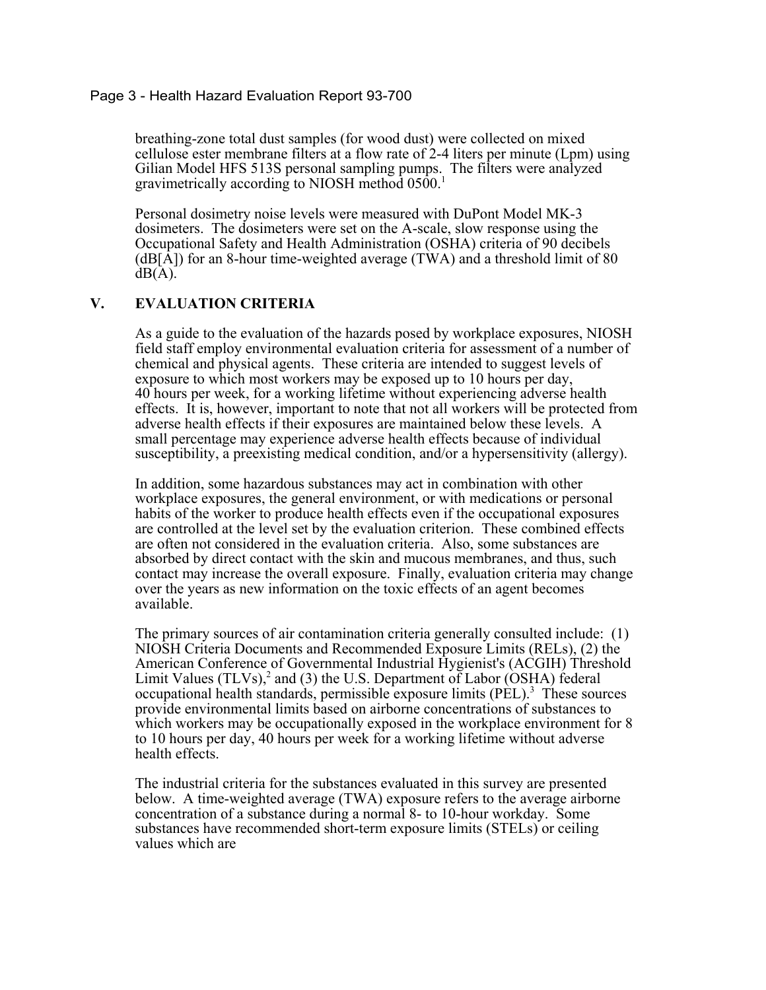#### Page 3 - Health Hazard Evaluation Report 93-700

breathing-zone total dust samples (for wood dust) were collected on mixed cellulose ester membrane filters at a flow rate of 2-4 liters per minute (Lpm) using Gilian Model HFS 513S personal sampling pumps. The filters were analyzed gravimetrically according to NIOSH method 0500.<sup>1</sup>

Personal dosimetry noise levels were measured with DuPont Model MK-3 dosimeters. The dosimeters were set on the A-scale, slow response using the Occupational Safety and Health Administration (OSHA) criteria of 90 decibels  $(dB[\overline{A}])$  for an 8-hour time-weighted average (TWA) and a threshold limit of 80  $dB(A)$ .

# **V. EVALUATION CRITERIA**

As a guide to the evaluation of the hazards posed by workplace exposures, NIOSH field staff employ environmental evaluation criteria for assessment of a number of chemical and physical agents. These criteria are intended to suggest levels of exposure to which most workers may be exposed up to 10 hours per day, 40 hours per week, for a working lifetime without experiencing adverse health effects. It is, however, important to note that not all workers will be protected from adverse health effects if their exposures are maintained below these levels. A small percentage may experience adverse health effects because of individual susceptibility, a preexisting medical condition, and/or a hypersensitivity (allergy).

In addition, some hazardous substances may act in combination with other workplace exposures, the general environment, or with medications or personal habits of the worker to produce health effects even if the occupational exposures are controlled at the level set by the evaluation criterion. These combined effects are often not considered in the evaluation criteria. Also, some substances are absorbed by direct contact with the skin and mucous membranes, and thus, such contact may increase the overall exposure. Finally, evaluation criteria may change over the years as new information on the toxic effects of an agent becomes available.

The primary sources of air contamination criteria generally consulted include: (1) NIOSH Criteria Documents and Recommended Exposure Limits (RELs), (2) the American Conference of Governmental Industrial Hygienist's (ACGIH) Threshold Limit Values (TLVs),<sup>2</sup> and (3) the U.S. Department of Labor (OSHA) federal occupational health standards, permissible exposure limits (PEL).<sup>3</sup> These sources provide environmental limits based on airborne concentrations of substances to which workers may be occupationally exposed in the workplace environment for 8 to 10 hours per day, 40 hours per week for a working lifetime without adverse health effects.

The industrial criteria for the substances evaluated in this survey are presented below. A time-weighted average (TWA) exposure refers to the average airborne concentration of a substance during a normal 8- to 10-hour workday. Some substances have recommended short-term exposure limits (STELs) or ceiling values which are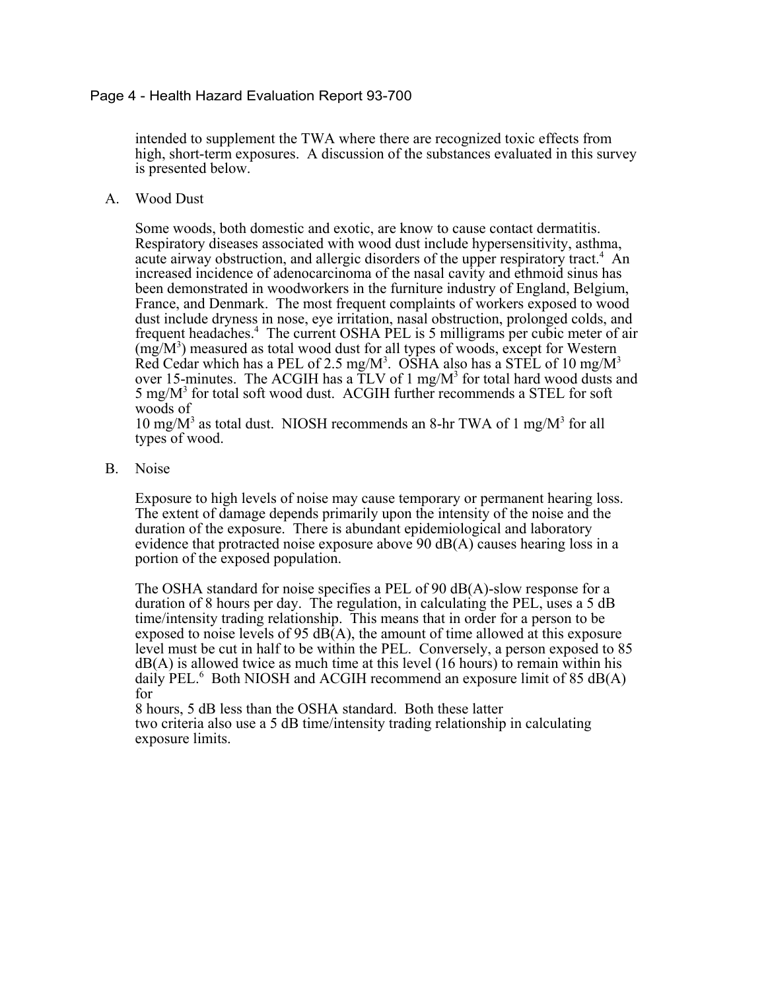### Page 4 - Health Hazard Evaluation Report 93-700

intended to supplement the TWA where there are recognized toxic effects from high, short-term exposures. A discussion of the substances evaluated in this survey is presented below.

A. Wood Dust

Some woods, both domestic and exotic, are know to cause contact dermatitis. Respiratory diseases associated with wood dust include hypersensitivity, asthma, acute airway obstruction, and allergic disorders of the upper respiratory tract.<sup>4</sup> An increased incidence of adenocarcinoma of the nasal cavity and ethmoid sinus has been demonstrated in woodworkers in the furniture industry of England, Belgium, France, and Denmark. The most frequent complaints of workers exposed to wood dust include dryness in nose, eye irritation, nasal obstruction, prolonged colds, and frequent headaches.<sup>4</sup> The current OSHA PEL is 5 milligrams per cubic meter of air  $(mg/M<sup>3</sup>)$  measured as total wood dust for all types of woods, except for Western Red Cedar which has a PEL of 2.5 mg/M<sup>3</sup>. OSHA also has a STEL of 10 mg/M<sup>3</sup> over 15-minutes. The ACGIH has a  $\text{TLV}$  of 1 mg/M<sup>3</sup> for total hard wood dusts and 5 mg/M<sup>3</sup> for total soft wood dust. ACGIH further recommends a STEL for soft woods of

10 mg/ $M<sup>3</sup>$  as total dust. NIOSH recommends an 8-hr TWA of 1 mg/ $M<sup>3</sup>$  for all types of wood.

B. Noise

Exposure to high levels of noise may cause temporary or permanent hearing loss. The extent of damage depends primarily upon the intensity of the noise and the duration of the exposure. There is abundant epidemiological and laboratory evidence that protracted noise exposure above 90 dB(A) causes hearing loss in a portion of the exposed population.

The OSHA standard for noise specifies a PEL of 90 dB(A)-slow response for a duration of 8 hours per day. The regulation, in calculating the PEL, uses a 5 dB time/intensity trading relationship. This means that in order for a person to be exposed to noise levels of 95  $dB(A)$ , the amount of time allowed at this exposure level must be cut in half to be within the PEL. Conversely, a person exposed to 85  $dB(A)$  is allowed twice as much time at this level (16 hours) to remain within his daily PEL.<sup>6</sup> Both NIOSH and ACGIH recommend an exposure limit of 85 dB(A) for

8 hours, 5 dB less than the OSHA standard. Both these latter two criteria also use a 5 dB time/intensity trading relationship in calculating exposure limits.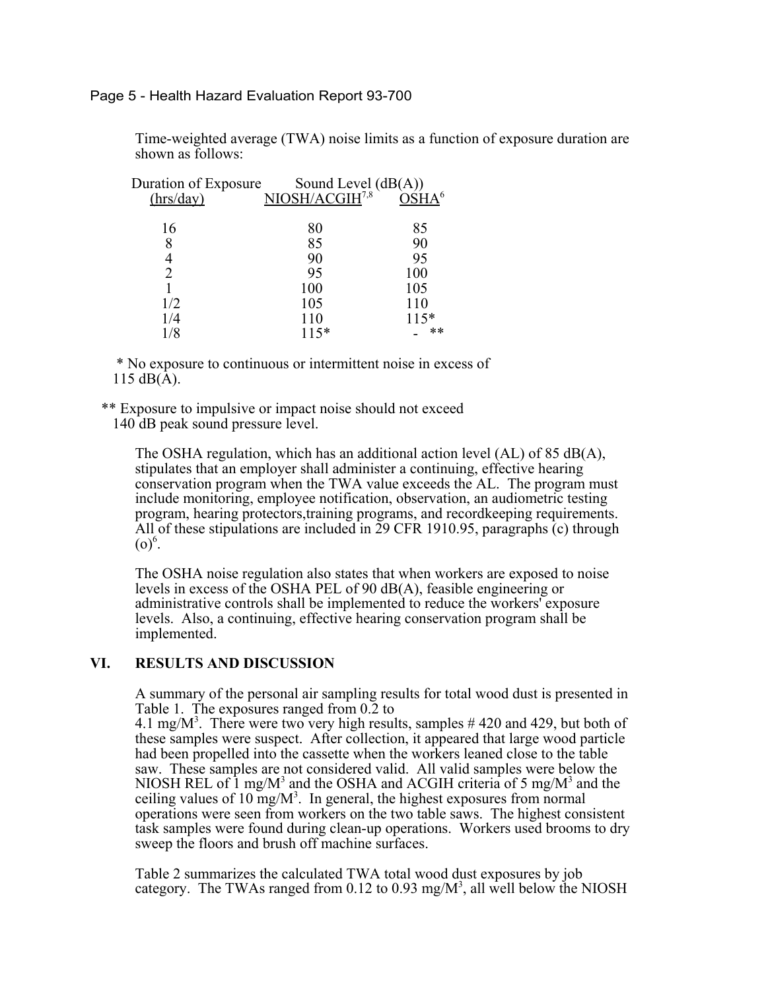Page 5 - Health Hazard Evaluation Report 93-700

Time-weighted average (TWA) noise limits as a function of exposure duration are shown as follows:

| Duration of Exposure |                                                                       |  |
|----------------------|-----------------------------------------------------------------------|--|
|                      |                                                                       |  |
|                      |                                                                       |  |
| 80                   | 85                                                                    |  |
| 85                   | 90                                                                    |  |
| 90                   | 95                                                                    |  |
| 95                   | 100                                                                   |  |
| 100                  | 105                                                                   |  |
| 105                  | 110                                                                   |  |
| 110                  | $115*$                                                                |  |
| $115*$               | $***$                                                                 |  |
|                      | Sound Level $(dB(A))$<br>NIOSH/ACGIH <sup>7,8</sup> OSHA <sup>6</sup> |  |

 \* No exposure to continuous or intermittent noise in excess of 115  $dB(\tilde{A})$ .

 \*\* Exposure to impulsive or impact noise should not exceed 140 dB peak sound pressure level.

The OSHA regulation, which has an additional action level (AL) of 85 dB(A), stipulates that an employer shall administer a continuing, effective hearing conservation program when the TWA value exceeds the AL. The program must include monitoring, employee notification, observation, an audiometric testing program, hearing protectors,training programs, and recordkeeping requirements. All of these stipulations are included in 29 CFR 1910.95, paragraphs (c) through  $(0)^6$ .

The OSHA noise regulation also states that when workers are exposed to noise levels in excess of the OSHA PEL of 90 dB(A), feasible engineering or administrative controls shall be implemented to reduce the workers' exposure levels. Also, a continuing, effective hearing conservation program shall be implemented.

#### **VI. RESULTS AND DISCUSSION**

A summary of the personal air sampling results for total wood dust is presented in Table 1. The exposures ranged from  $0.\overline{2}$  to

4.1 mg/M<sup>3</sup>. There were two very high results, samples  $\#$  420 and 429, but both of these samples were suspect. After collection, it appeared that large wood particle had been propelled into the cassette when the workers leaned close to the table saw. These samples are not considered valid. All valid samples were below the NIOSH REL of 1 mg/M<sup>3</sup> and the OSHA and ACGIH criteria of 5 mg/M<sup>3</sup> and the ceiling values of 10 mg/ $M^3$ . In general, the highest exposures from normal operations were seen from workers on the two table saws. The highest consistent task samples were found during clean-up operations. Workers used brooms to dry sweep the floors and brush off machine surfaces.

Table 2 summarizes the calculated TWA total wood dust exposures by job category. The TWAs ranged from 0.12 to 0.93 mg/ $M<sup>3</sup>$ , all well below the NIOSH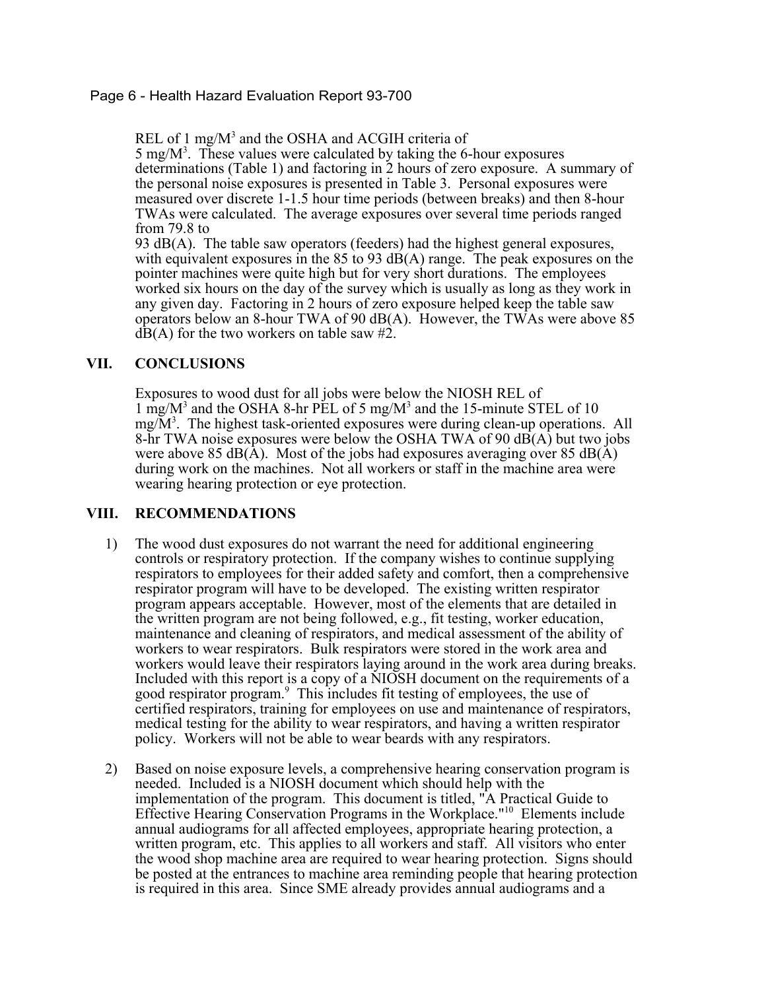# Page 6 - Health Hazard Evaluation Report 93-700

REL of 1 mg/ $M<sup>3</sup>$  and the OSHA and ACGIH criteria of

5 mg/ $M^3$ . These values were calculated by taking the 6-hour exposures determinations (Table 1) and factoring in 2 hours of zero exposure. A summary of the personal noise exposures is presented in Table 3. Personal exposures were measured over discrete 1-1.5 hour time periods (between breaks) and then 8-hour TWAs were calculated. The average exposures over several time periods ranged from 79.8 to

93  $dB(A)$ . The table saw operators (feeders) had the highest general exposures, with equivalent exposures in the 85 to 93  $dB(A)$  range. The peak exposures on the pointer machines were quite high but for very short durations. The employees worked six hours on the day of the survey which is usually as long as they work in any given day. Factoring in 2 hours of zero exposure helped keep the table saw operators below an 8-hour TWA of 90 dB(A). However, the TWAs were above 85  $dB(A)$  for the two workers on table saw #2.

### **VII. CONCLUSIONS**

Exposures to wood dust for all jobs were below the NIOSH REL of 1 mg/M<sup>3</sup> and the OSHA 8-hr PEL of 5 mg/M<sup>3</sup> and the 15-minute STEL of 10  $mg/M<sup>3</sup>$ . The highest task-oriented exposures were during clean-up operations. All 8-hr TWA noise exposures were below the OSHA TWA of 90 dB(A) but two jobs were above 85 dB( $\overline{A}$ ). Most of the jobs had exposures averaging over 85 dB( $\overline{A}$ ) during work on the machines. Not all workers or staff in the machine area were wearing hearing protection or eye protection.

#### **VIII. RECOMMENDATIONS**

- 1) The wood dust exposures do not warrant the need for additional engineering controls or respiratory protection. If the company wishes to continue supplying respirators to employees for their added safety and comfort, then a comprehensive respirator program will have to be developed. The existing written respirator program appears acceptable. However, most of the elements that are detailed in the written program are not being followed, e.g., fit testing, worker education, maintenance and cleaning of respirators, and medical assessment of the ability of workers to wear respirators. Bulk respirators were stored in the work area and workers would leave their respirators laying around in the work area during breaks. Included with this report is a copy of a NIOSH document on the requirements of a good respirator program.<sup>9</sup> This includes fit testing of employees, the use of certified respirators, training for employees on use and maintenance of respirators, medical testing for the ability to wear respirators, and having a written respirator policy. Workers will not be able to wear beards with any respirators.
- 2) Based on noise exposure levels, a comprehensive hearing conservation program is needed. Included is a NIOSH document which should help with the implementation of the program. This document is titled, "A Practical Guide to Effective Hearing Conservation Programs in the Workplace."10 Elements include annual audiograms for all affected employees, appropriate hearing protection, a written program, etc. This applies to all workers and staff. All visitors who enter the wood shop machine area are required to wear hearing protection. Signs should be posted at the entrances to machine area reminding people that hearing protection is required in this area. Since SME already provides annual audiograms and a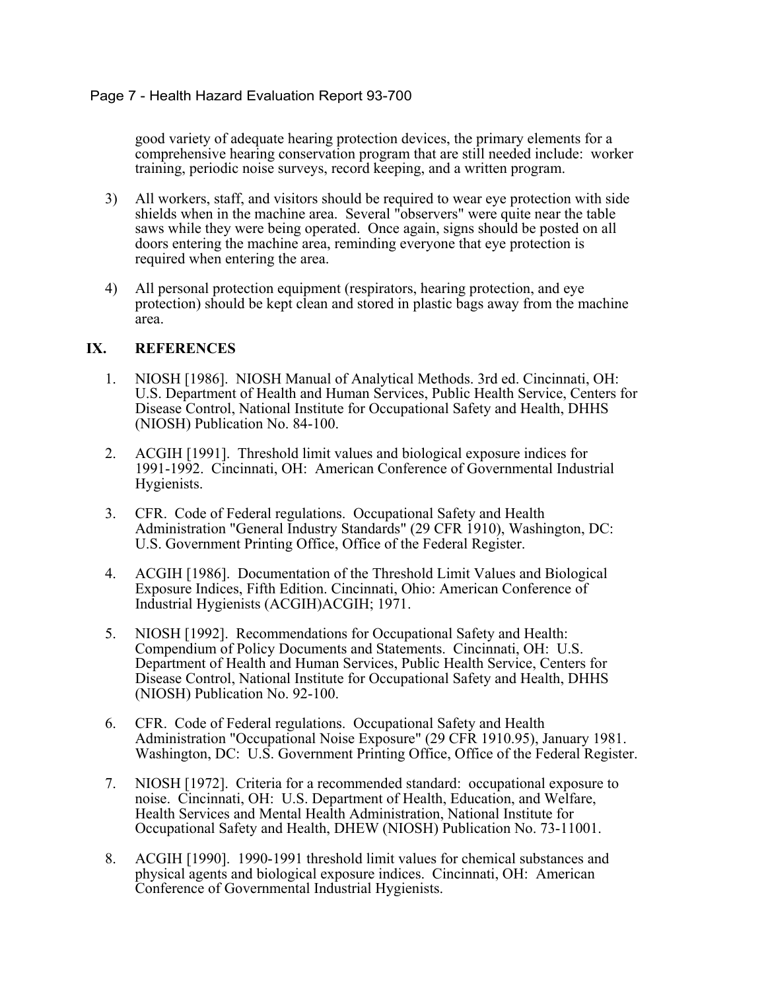good variety of adequate hearing protection devices, the primary elements for a comprehensive hearing conservation program that are still needed include: worker training, periodic noise surveys, record keeping, and a written program.

- 3) All workers, staff, and visitors should be required to wear eye protection with side shields when in the machine area. Several "observers" were quite near the table saws while they were being operated. Once again, signs should be posted on all doors entering the machine area, reminding everyone that eye protection is required when entering the area.
- 4) All personal protection equipment (respirators, hearing protection, and eye protection) should be kept clean and stored in plastic bags away from the machine area.

# **IX. REFERENCES**

- 1. NIOSH [1986]. NIOSH Manual of Analytical Methods. 3rd ed. Cincinnati, OH: U.S. Department of Health and Human Services, Public Health Service, Centers for Disease Control, National Institute for Occupational Safety and Health, DHHS (NIOSH) Publication No. 84-100.
- 2. ACGIH [1991]. Threshold limit values and biological exposure indices for 1991-1992. Cincinnati, OH: American Conference of Governmental Industrial Hygienists.
- 3. CFR. Code of Federal regulations. Occupational Safety and Health Administration "General Industry Standards" (29 CFR 1910), Washington, DC: U.S. Government Printing Office, Office of the Federal Register.
- 4. ACGIH [1986]. Documentation of the Threshold Limit Values and Biological Exposure Indices, Fifth Edition. Cincinnati, Ohio: American Conference of Industrial Hygienists (ACGIH)ACGIH; 1971.
- 5. NIOSH [1992]. Recommendations for Occupational Safety and Health: Compendium of Policy Documents and Statements. Cincinnati, OH: U.S. Department of Health and Human Services, Public Health Service, Centers for Disease Control, National Institute for Occupational Safety and Health, DHHS (NIOSH) Publication No. 92-100.
- 6. CFR. Code of Federal regulations. Occupational Safety and Health Administration "Occupational Noise Exposure" (29 CFR 1910.95), January 1981. Washington, DC: U.S. Government Printing Office, Office of the Federal Register.
- 7. NIOSH [1972]. Criteria for a recommended standard: occupational exposure to noise. Cincinnati, OH: U.S. Department of Health, Education, and Welfare, Health Services and Mental Health Administration, National Institute for Occupational Safety and Health, DHEW (NIOSH) Publication No. 73-11001.
- 8. ACGIH [1990]. 1990-1991 threshold limit values for chemical substances and physical agents and biological exposure indices. Cincinnati, OH: American Conference of Governmental Industrial Hygienists.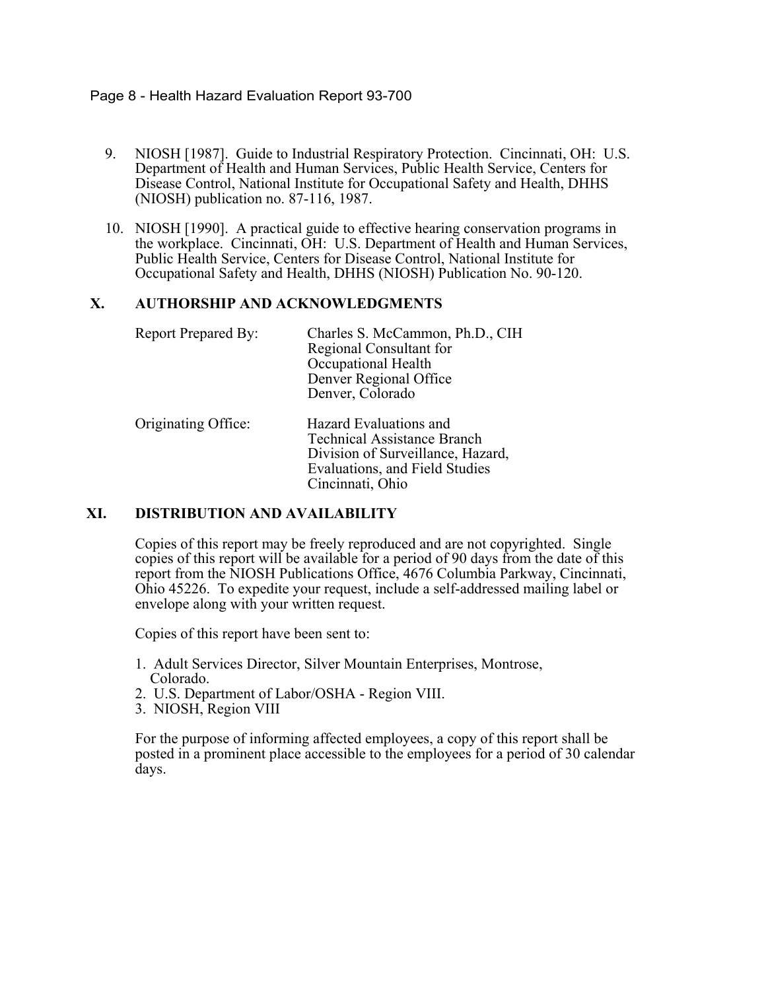### Page 8 - Health Hazard Evaluation Report 93-700

- 9. NIOSH [1987]. Guide to Industrial Respiratory Protection. Cincinnati, OH: U.S. Department of Health and Human Services, Public Health Service, Centers for Disease Control, National Institute for Occupational Safety and Health, DHHS (NIOSH) publication no. 87-116, 1987.
- 10. NIOSH [1990]. A practical guide to effective hearing conservation programs in the workplace. Cincinnati, OH: U.S. Department of Health and Human Services, Public Health Service, Centers for Disease Control, National Institute for Occupational Safety and Health, DHHS (NIOSH) Publication No. 90-120.

# **X. AUTHORSHIP AND ACKNOWLEDGMENTS**

| <b>Report Prepared By:</b> | Charles S. McCammon, Ph.D., CIH<br>Regional Consultant for<br>Occupational Health<br>Denver Regional Office<br>Denver, Colorado                         |
|----------------------------|---------------------------------------------------------------------------------------------------------------------------------------------------------|
| Originating Office:        | Hazard Evaluations and<br><b>Technical Assistance Branch</b><br>Division of Surveillance, Hazard,<br>Evaluations, and Field Studies<br>Cincinnati, Ohio |

# **XI. DISTRIBUTION AND AVAILABILITY**

Copies of this report may be freely reproduced and are not copyrighted. Single copies of this report will be available for a period of 90 days from the date of this report from the NIOSH Publications Office, 4676 Columbia Parkway, Cincinnati, Ohio 45226. To expedite your request, include a self-addressed mailing label or envelope along with your written request.

Copies of this report have been sent to:

- 1. Adult Services Director, Silver Mountain Enterprises, Montrose, Colorado.
- 2. U.S. Department of Labor/OSHA Region VIII.
- 3. NIOSH, Region VIII

For the purpose of informing affected employees, a copy of this report shall be posted in a prominent place accessible to the employees for a period of 30 calendar days.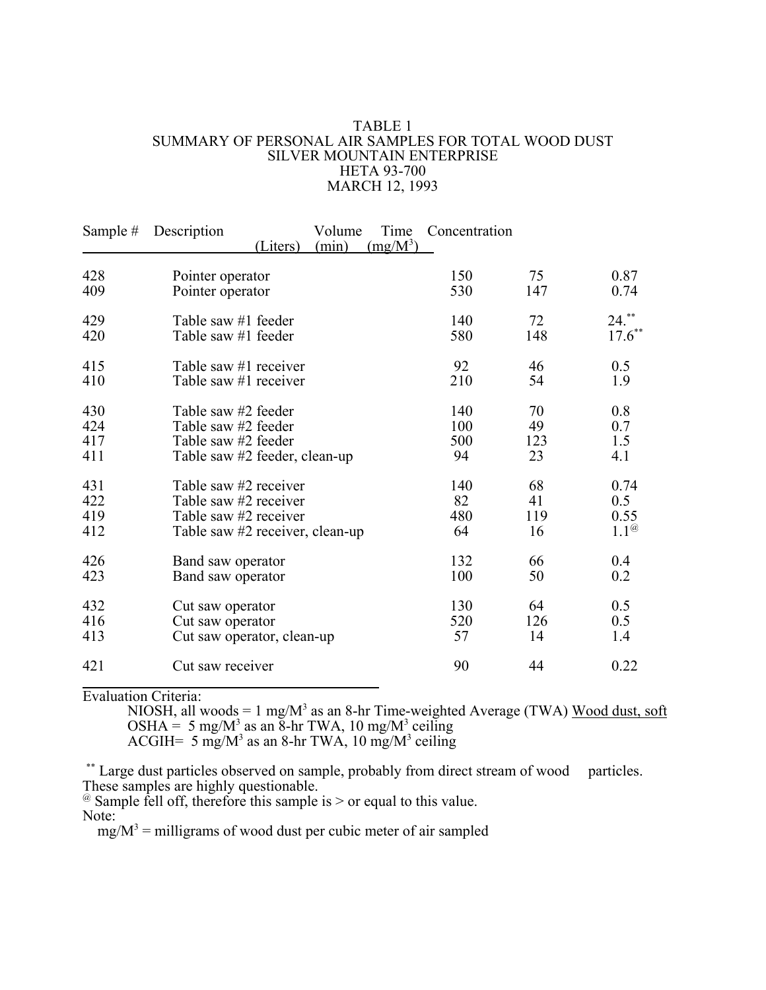#### TABLE 1 SUMMARY OF PERSONAL AIR SAMPLES FOR TOTAL WOOD DUST SILVER MOUNTAIN ENTERPRISE HETA 93-700 MARCH 12, 1993

| Sample # | Volume<br>Description<br>(min)<br>(Liters) | Time<br>$(mg/M^3)$ | Concentration |     |                |
|----------|--------------------------------------------|--------------------|---------------|-----|----------------|
| 428      | Pointer operator                           |                    | 150           | 75  | 0.87           |
| 409      | Pointer operator                           |                    | 530           | 147 | 0.74           |
| 429      | Table saw #1 feeder                        |                    | 140           | 72  | $24.***$       |
| 420      | Table saw #1 feeder                        |                    | 580           | 148 | $17.6***$      |
| 415      | Table saw #1 receiver                      |                    | 92            | 46  | 0.5            |
| 410      | Table saw #1 receiver                      |                    | 210           | 54  | 1.9            |
| 430      | Table saw #2 feeder                        |                    | 140           | 70  | 0.8            |
| 424      | Table saw #2 feeder                        |                    | 100           | 49  | 0.7            |
| 417      | Table saw #2 feeder                        |                    | 500           | 123 | 1.5            |
| 411      | Table saw #2 feeder, clean-up              |                    | 94            | 23  | 4.1            |
| 431      | Table saw #2 receiver                      |                    | 140           | 68  | 0.74           |
| 422      | Table saw #2 receiver                      |                    | 82            | 41  | 0.5            |
| 419      | Table saw #2 receiver                      |                    | 480           | 119 | 0.55           |
| 412      | Table saw #2 receiver, clean-up            |                    | 64            | 16  | $1.1^{\omega}$ |
| 426      | Band saw operator                          |                    | 132           | 66  | 0.4            |
| 423      | Band saw operator                          |                    | 100           | 50  | 0.2            |
| 432      | Cut saw operator                           |                    | 130           | 64  | 0.5            |
| 416      | Cut saw operator                           |                    | 520           | 126 | 0.5            |
| 413      | Cut saw operator, clean-up                 |                    | 57            | 14  | 1.4            |
| 421      | Cut saw receiver                           |                    | 90            | 44  | 0.22           |

Evaluation Criteria:

NIOSH, all woods = 1 mg/ $M^3$  as an 8-hr Time-weighted Average (TWA) Wood dust, soft OSHA = 5 mg/M<sup>3</sup> as an  $\overline{8}$ -hr TWA, 10 mg/M<sup>3</sup> ceiling

ACGIH=  $5 \text{ mg/M}^3$  as an 8-hr TWA, 10 mg/M<sup>3</sup> ceiling

\*\* Large dust particles observed on sample, probably from direct stream of wood particles. These samples are highly questionable.

@ Sample fell off, therefore this sample is > or equal to this value. Note:

 $mg/M^3$  = milligrams of wood dust per cubic meter of air sampled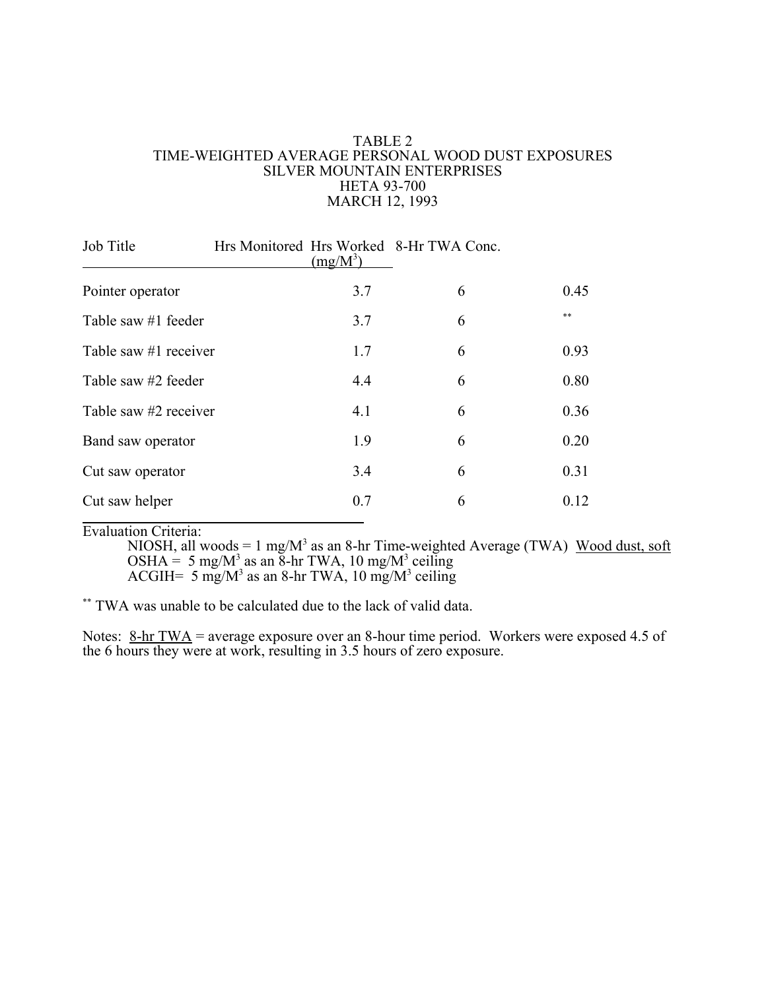#### TABLE 2 TIME-WEIGHTED AVERAGE PERSONAL WOOD DUST EXPOSURES SILVER MOUNTAIN ENTERPRISES HETA 93-700 MARCH 12, 1993

| Job Title             | $(mg/M^3)$ | Hrs Monitored Hrs Worked 8-Hr TWA Conc. |      |
|-----------------------|------------|-----------------------------------------|------|
| Pointer operator      | 3.7        | 6                                       | 0.45 |
| Table saw #1 feeder   | 3.7        | 6                                       | **   |
| Table saw #1 receiver | 1.7        | 6                                       | 0.93 |
| Table saw #2 feeder   | 4.4        | 6                                       | 0.80 |
| Table saw #2 receiver | 4.1        | 6                                       | 0.36 |
| Band saw operator     | 1.9        | 6                                       | 0.20 |
| Cut saw operator      | 3.4        | 6                                       | 0.31 |
| Cut saw helper        | 0.7        | 6                                       | 0.12 |

Evaluation Criteria:

NIOSH, all woods = 1 mg/M<sup>3</sup> as an 8-hr Time-weighted Average (TWA) Wood dust, soft OSHA = 5 mg/M<sup>3</sup> as an  $\overline{8}$ -hr TWA, 10 mg/M<sup>3</sup> ceiling ACGIH=  $5 \text{ mg/M}^3$  as an 8-hr TWA, 10 mg/M<sup>3</sup> ceiling

\*\* TWA was unable to be calculated due to the lack of valid data.

Notes:  $8-hr TWA = average exposure over an 8-hour time period. Workers were exposed 4.5 of$ the 6 hours they were at work, resulting in 3.5 hours of zero exposure.